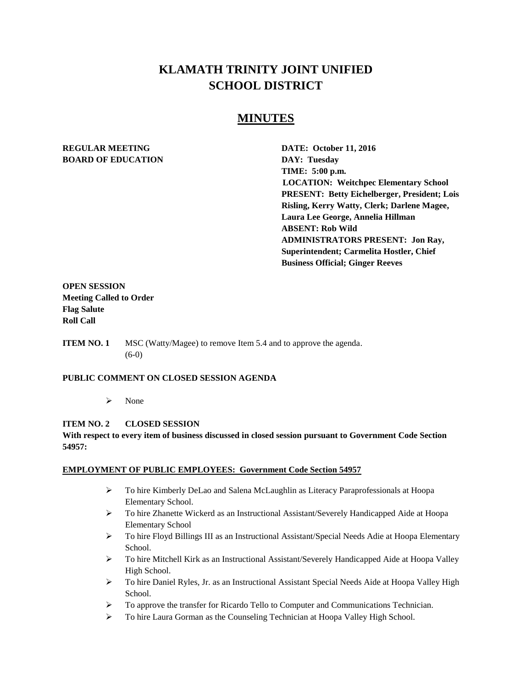# **KLAMATH TRINITY JOINT UNIFIED SCHOOL DISTRICT**

# **MINUTES**

## **REGULAR MEETING DATE: October 11, 2016 BOARD OF EDUCATION DAY: Tuesday**

**TIME: 5:00 p.m. LOCATION: Weitchpec Elementary School PRESENT: Betty Eichelberger, President; Lois Risling, Kerry Watty, Clerk; Darlene Magee, Laura Lee George, Annelia Hillman ABSENT: Rob Wild ADMINISTRATORS PRESENT: Jon Ray, Superintendent; Carmelita Hostler, Chief Business Official; Ginger Reeves**

**OPEN SESSION Meeting Called to Order Flag Salute Roll Call**

**ITEM NO. 1** MSC (Watty/Magee) to remove Item 5.4 and to approve the agenda. (6-0)

### **PUBLIC COMMENT ON CLOSED SESSION AGENDA**

> None

### **ITEM NO. 2 CLOSED SESSION**

### **With respect to every item of business discussed in closed session pursuant to Government Code Section 54957:**

#### **EMPLOYMENT OF PUBLIC EMPLOYEES: Government Code Section 54957**

- To hire Kimberly DeLao and Salena McLaughlin as Literacy Paraprofessionals at Hoopa Elementary School.
- To hire Zhanette Wickerd as an Instructional Assistant/Severely Handicapped Aide at Hoopa Elementary School
- $\triangleright$  To hire Floyd Billings III as an Instructional Assistant/Special Needs Adie at Hoopa Elementary School.
- To hire Mitchell Kirk as an Instructional Assistant/Severely Handicapped Aide at Hoopa Valley High School.
- To hire Daniel Ryles, Jr. as an Instructional Assistant Special Needs Aide at Hoopa Valley High School.
- $\triangleright$  To approve the transfer for Ricardo Tello to Computer and Communications Technician.
- To hire Laura Gorman as the Counseling Technician at Hoopa Valley High School.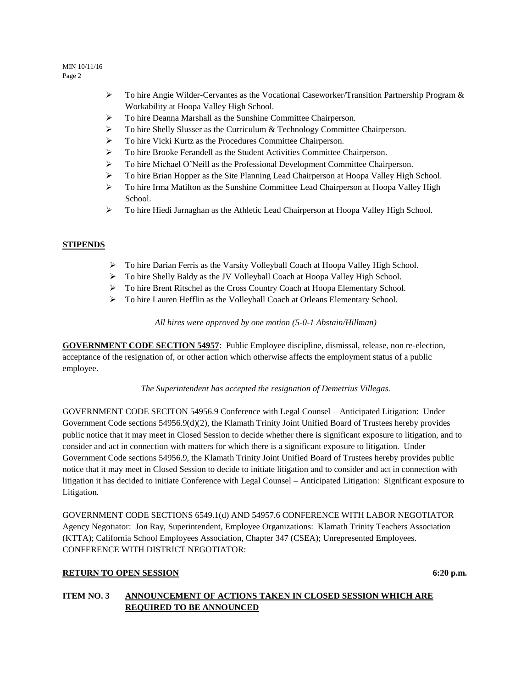#### MIN 10/11/16 Page 2

- $\triangleright$  To hire Angie Wilder-Cervantes as the Vocational Caseworker/Transition Partnership Program & Workability at Hoopa Valley High School.
- To hire Deanna Marshall as the Sunshine Committee Chairperson.
- > To hire Shelly Slusser as the Curriculum & Technology Committee Chairperson.
- To hire Vicki Kurtz as the Procedures Committee Chairperson.
- To hire Brooke Ferandell as the Student Activities Committee Chairperson.
- $\triangleright$  To hire Michael O'Neill as the Professional Development Committee Chairperson.
- To hire Brian Hopper as the Site Planning Lead Chairperson at Hoopa Valley High School.
- To hire Irma Matilton as the Sunshine Committee Lead Chairperson at Hoopa Valley High School.
- To hire Hiedi Jarnaghan as the Athletic Lead Chairperson at Hoopa Valley High School.

### **STIPENDS**

- To hire Darian Ferris as the Varsity Volleyball Coach at Hoopa Valley High School.
- > To hire Shelly Baldy as the JV Volleyball Coach at Hoopa Valley High School.
- To hire Brent Ritschel as the Cross Country Coach at Hoopa Elementary School.
- To hire Lauren Hefflin as the Volleyball Coach at Orleans Elementary School.

*All hires were approved by one motion (5-0-1 Abstain/Hillman)* 

**GOVERNMENT CODE SECTION 54957**: Public Employee discipline, dismissal, release, non re-election, acceptance of the resignation of, or other action which otherwise affects the employment status of a public employee.

*The Superintendent has accepted the resignation of Demetrius Villegas.* 

GOVERNMENT CODE SECITON 54956.9 Conference with Legal Counsel – Anticipated Litigation: Under Government Code sections 54956.9(d)(2), the Klamath Trinity Joint Unified Board of Trustees hereby provides public notice that it may meet in Closed Session to decide whether there is significant exposure to litigation, and to consider and act in connection with matters for which there is a significant exposure to litigation. Under Government Code sections 54956.9, the Klamath Trinity Joint Unified Board of Trustees hereby provides public notice that it may meet in Closed Session to decide to initiate litigation and to consider and act in connection with litigation it has decided to initiate Conference with Legal Counsel – Anticipated Litigation: Significant exposure to Litigation.

GOVERNMENT CODE SECTIONS 6549.1(d) AND 54957.6 CONFERENCE WITH LABOR NEGOTIATOR Agency Negotiator: Jon Ray, Superintendent, Employee Organizations: Klamath Trinity Teachers Association (KTTA); California School Employees Association, Chapter 347 (CSEA); Unrepresented Employees. CONFERENCE WITH DISTRICT NEGOTIATOR:

### **RETURN TO OPEN SESSION** 6:20 **p.m.**

### **ITEM NO. 3 ANNOUNCEMENT OF ACTIONS TAKEN IN CLOSED SESSION WHICH ARE REQUIRED TO BE ANNOUNCED**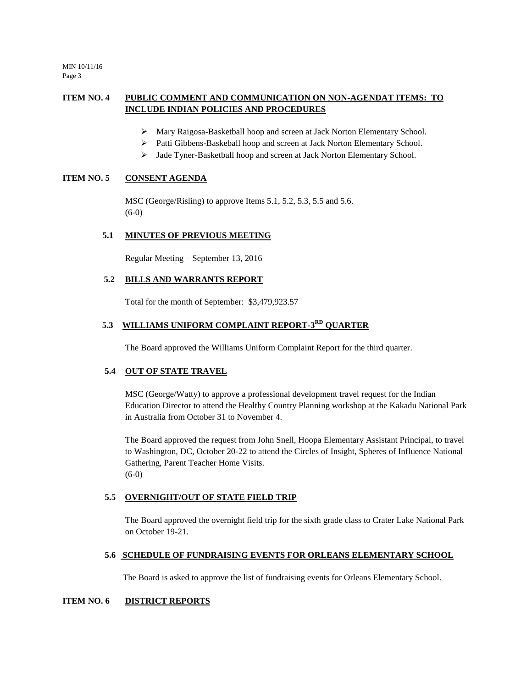MIN 10/11/16 Page 3

## **ITEM NO. 4 PUBLIC COMMENT AND COMMUNICATION ON NON-AGENDAT ITEMS: TO INCLUDE INDIAN POLICIES AND PROCEDURES**

- Mary Raigosa-Basketball hoop and screen at Jack Norton Elementary School.
- > Patti Gibbens-Baskeball hoop and screen at Jack Norton Elementary School.
- > Jade Tyner-Basketball hoop and screen at Jack Norton Elementary School.

### **ITEM NO. 5 CONSENT AGENDA**

MSC (George/Risling) to approve Items 5.1, 5.2, 5.3, 5.5 and 5.6. (6-0)

#### **5.1 MINUTES OF PREVIOUS MEETING**

Regular Meeting – September 13, 2016

#### **5.2 BILLS AND WARRANTS REPORT**

Total for the month of September: \$3,479,923.57

### 5.3 WILLIAMS UNIFORM COMPLAINT REPORT-3<sup>RD</sup> QUARTER

The Board approved the Williams Uniform Complaint Report for the third quarter.

#### **5.4 OUT OF STATE TRAVEL**

MSC (George/Watty) to approve a professional development travel request for the Indian Education Director to attend the Healthy Country Planning workshop at the Kakadu National Park in Australia from October 31 to November 4.

The Board approved the request from John Snell, Hoopa Elementary Assistant Principal, to travel to Washington, DC, October 20-22 to attend the Circles of Insight, Spheres of Influence National Gathering, Parent Teacher Home Visits. (6-0)

#### **5.5 OVERNIGHT/OUT OF STATE FIELD TRIP**

The Board approved the overnight field trip for the sixth grade class to Crater Lake National Park on October 19-21.

#### **5.6 SCHEDULE OF FUNDRAISING EVENTS FOR ORLEANS ELEMENTARY SCHOOL**

The Board is asked to approve the list of fundraising events for Orleans Elementary School.

#### **ITEM NO. 6 DISTRICT REPORTS**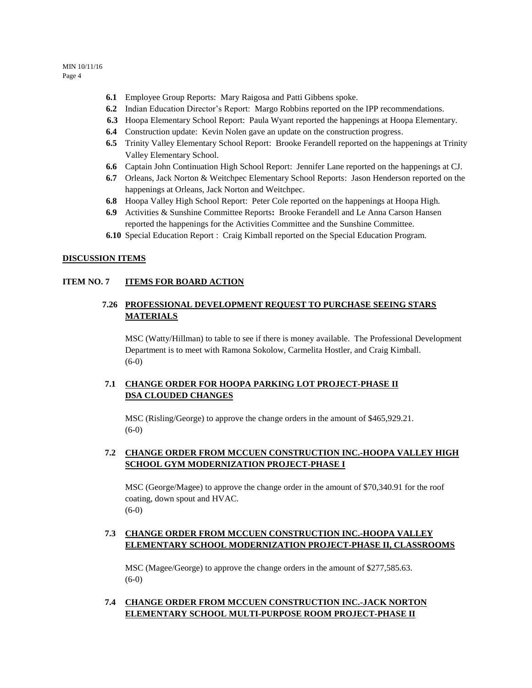- **6.1** Employee Group Reports: Mary Raigosa and Patti Gibbens spoke.
- **6.2** Indian Education Director's Report: Margo Robbins reported on the IPP recommendations.
- **6.3** Hoopa Elementary School Report: Paula Wyant reported the happenings at Hoopa Elementary.
- **6.4** Construction update: Kevin Nolen gave an update on the construction progress.
- **6.5** Trinity Valley Elementary School Report: Brooke Ferandell reported on the happenings at Trinity Valley Elementary School.
- **6.6** Captain John Continuation High School Report: Jennifer Lane reported on the happenings at CJ.
- **6.7** Orleans, Jack Norton & Weitchpec Elementary School Reports: Jason Henderson reported on the happenings at Orleans, Jack Norton and Weitchpec.
- **6.8** Hoopa Valley High School Report: Peter Cole reported on the happenings at Hoopa High.
- **6.9** Activities & Sunshine Committee Reports**:** Brooke Ferandell and Le Anna Carson Hansen reported the happenings for the Activities Committee and the Sunshine Committee.
- **6.10** Special Education Report : Craig Kimball reported on the Special Education Program.

### **DISCUSSION ITEMS**

### **ITEM NO. 7 ITEMS FOR BOARD ACTION**

### **7.26 PROFESSIONAL DEVELOPMENT REQUEST TO PURCHASE SEEING STARS MATERIALS**

MSC (Watty/Hillman) to table to see if there is money available. The Professional Development Department is to meet with Ramona Sokolow, Carmelita Hostler, and Craig Kimball. (6-0)

### **7.1 CHANGE ORDER FOR HOOPA PARKING LOT PROJECT-PHASE II DSA CLOUDED CHANGES**

MSC (Risling/George) to approve the change orders in the amount of \$465,929.21. (6-0)

### **7.2 CHANGE ORDER FROM MCCUEN CONSTRUCTION INC.-HOOPA VALLEY HIGH SCHOOL GYM MODERNIZATION PROJECT-PHASE I**

MSC (George/Magee) to approve the change order in the amount of \$70,340.91 for the roof coating, down spout and HVAC. (6-0)

### **7.3 CHANGE ORDER FROM MCCUEN CONSTRUCTION INC.-HOOPA VALLEY ELEMENTARY SCHOOL MODERNIZATION PROJECT-PHASE II, CLASSROOMS**

MSC (Magee/George) to approve the change orders in the amount of \$277,585.63. (6-0)

### **7.4 CHANGE ORDER FROM MCCUEN CONSTRUCTION INC.-JACK NORTON ELEMENTARY SCHOOL MULTI-PURPOSE ROOM PROJECT-PHASE II**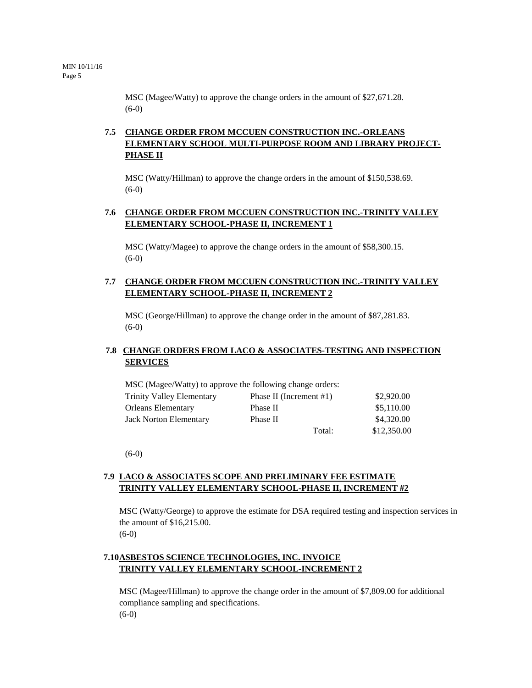MSC (Magee/Watty) to approve the change orders in the amount of \$27,671.28. (6-0)

## **7.5 CHANGE ORDER FROM MCCUEN CONSTRUCTION INC.-ORLEANS ELEMENTARY SCHOOL MULTI-PURPOSE ROOM AND LIBRARY PROJECT-PHASE II**

MSC (Watty/Hillman) to approve the change orders in the amount of \$150,538.69. (6-0)

### **7.6 CHANGE ORDER FROM MCCUEN CONSTRUCTION INC.-TRINITY VALLEY ELEMENTARY SCHOOL-PHASE II, INCREMENT 1**

MSC (Watty/Magee) to approve the change orders in the amount of \$58,300.15. (6-0)

### **7.7 CHANGE ORDER FROM MCCUEN CONSTRUCTION INC.-TRINITY VALLEY ELEMENTARY SCHOOL-PHASE II, INCREMENT 2**

MSC (George/Hillman) to approve the change order in the amount of \$87,281.83.  $(6-0)$ 

### **7.8 CHANGE ORDERS FROM LACO & ASSOCIATES-TESTING AND INSPECTION SERVICES**

|                                  | MSC (Magee/Watty) to approve the following change orders: |             |
|----------------------------------|-----------------------------------------------------------|-------------|
| <b>Trinity Valley Elementary</b> | Phase II (Increment $#1$ )                                | \$2,920.00  |
| <b>Orleans Elementary</b>        | Phase II                                                  | \$5,110.00  |
| Jack Norton Elementary           | Phase II                                                  | \$4,320.00  |
|                                  | Total:                                                    | \$12,350.00 |

(6-0)

### **7.9 LACO & ASSOCIATES SCOPE AND PRELIMINARY FEE ESTIMATE TRINITY VALLEY ELEMENTARY SCHOOL-PHASE II, INCREMENT #2**

MSC (Watty/George) to approve the estimate for DSA required testing and inspection services in the amount of \$16,215.00. (6-0)

## **7.10ASBESTOS SCIENCE TECHNOLOGIES, INC. INVOICE TRINITY VALLEY ELEMENTARY SCHOOL-INCREMENT 2**

MSC (Magee/Hillman) to approve the change order in the amount of \$7,809.00 for additional compliance sampling and specifications. (6-0)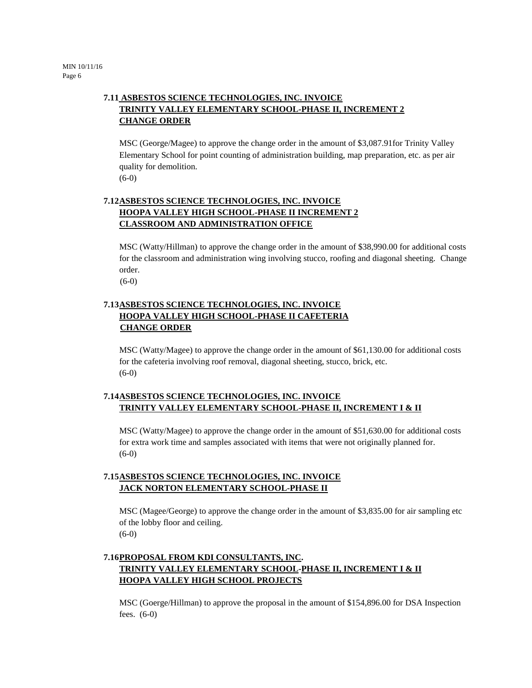## **7.11 ASBESTOS SCIENCE TECHNOLOGIES, INC. INVOICE TRINITY VALLEY ELEMENTARY SCHOOL-PHASE II, INCREMENT 2 CHANGE ORDER**

MSC (George/Magee) to approve the change order in the amount of \$3,087.91for Trinity Valley Elementary School for point counting of administration building, map preparation, etc. as per air quality for demolition.

(6-0)

## **7.12ASBESTOS SCIENCE TECHNOLOGIES, INC. INVOICE HOOPA VALLEY HIGH SCHOOL-PHASE II INCREMENT 2 CLASSROOM AND ADMINISTRATION OFFICE**

MSC (Watty/Hillman) to approve the change order in the amount of \$38,990.00 for additional costs for the classroom and administration wing involving stucco, roofing and diagonal sheeting. Change order.

(6-0)

## **7.13ASBESTOS SCIENCE TECHNOLOGIES, INC. INVOICE HOOPA VALLEY HIGH SCHOOL-PHASE II CAFETERIA CHANGE ORDER**

MSC (Watty/Magee) to approve the change order in the amount of \$61,130.00 for additional costs for the cafeteria involving roof removal, diagonal sheeting, stucco, brick, etc. (6-0)

## **7.14ASBESTOS SCIENCE TECHNOLOGIES, INC. INVOICE TRINITY VALLEY ELEMENTARY SCHOOL-PHASE II, INCREMENT I & II**

MSC (Watty/Magee) to approve the change order in the amount of \$51,630.00 for additional costs for extra work time and samples associated with items that were not originally planned for. (6-0)

## **7.15ASBESTOS SCIENCE TECHNOLOGIES, INC. INVOICE JACK NORTON ELEMENTARY SCHOOL-PHASE II**

MSC (Magee/George) to approve the change order in the amount of \$3,835.00 for air sampling etc of the lobby floor and ceiling. (6-0)

## **7.16PROPOSAL FROM KDI CONSULTANTS, INC. TRINITY VALLEY ELEMENTARY SCHOOL-PHASE II, INCREMENT I & II HOOPA VALLEY HIGH SCHOOL PROJECTS**

MSC (Goerge/Hillman) to approve the proposal in the amount of \$154,896.00 for DSA Inspection fees. (6-0)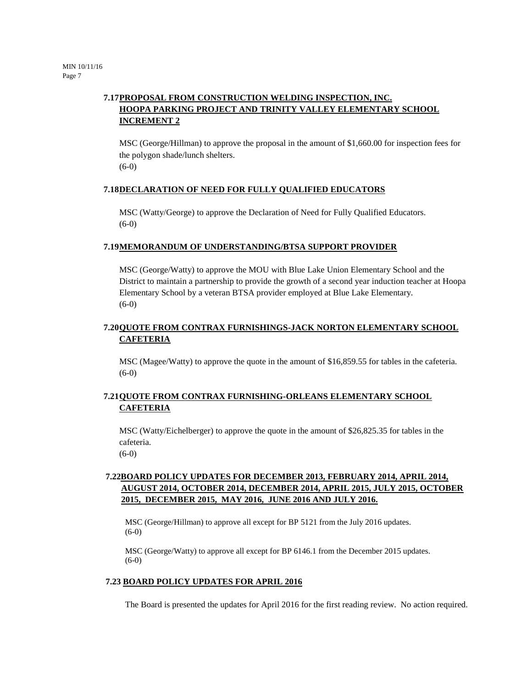## **7.17PROPOSAL FROM CONSTRUCTION WELDING INSPECTION, INC. HOOPA PARKING PROJECT AND TRINITY VALLEY ELEMENTARY SCHOOL INCREMENT 2**

MSC (George/Hillman) to approve the proposal in the amount of \$1,660.00 for inspection fees for the polygon shade/lunch shelters. (6-0)

### **7.18DECLARATION OF NEED FOR FULLY QUALIFIED EDUCATORS**

MSC (Watty/George) to approve the Declaration of Need for Fully Qualified Educators. (6-0)

#### **7.19MEMORANDUM OF UNDERSTANDING/BTSA SUPPORT PROVIDER**

MSC (George/Watty) to approve the MOU with Blue Lake Union Elementary School and the District to maintain a partnership to provide the growth of a second year induction teacher at Hoopa Elementary School by a veteran BTSA provider employed at Blue Lake Elementary. (6-0)

### **7.20QUOTE FROM CONTRAX FURNISHINGS-JACK NORTON ELEMENTARY SCHOOL CAFETERIA**

MSC (Magee/Watty) to approve the quote in the amount of \$16,859.55 for tables in the cafeteria. (6-0)

### **7.21QUOTE FROM CONTRAX FURNISHING-ORLEANS ELEMENTARY SCHOOL CAFETERIA**

MSC (Watty/Eichelberger) to approve the quote in the amount of \$26,825.35 for tables in the cafeteria.

(6-0)

## **7.22BOARD POLICY UPDATES FOR DECEMBER 2013, FEBRUARY 2014, APRIL 2014, AUGUST 2014, OCTOBER 2014, DECEMBER 2014, APRIL 2015, JULY 2015, OCTOBER 2015, DECEMBER 2015, MAY 2016, JUNE 2016 AND JULY 2016.**

MSC (George/Hillman) to approve all except for BP 5121 from the July 2016 updates. (6-0)

MSC (George/Watty) to approve all except for BP 6146.1 from the December 2015 updates. (6-0)

#### **7.23 BOARD POLICY UPDATES FOR APRIL 2016**

The Board is presented the updates for April 2016 for the first reading review. No action required.